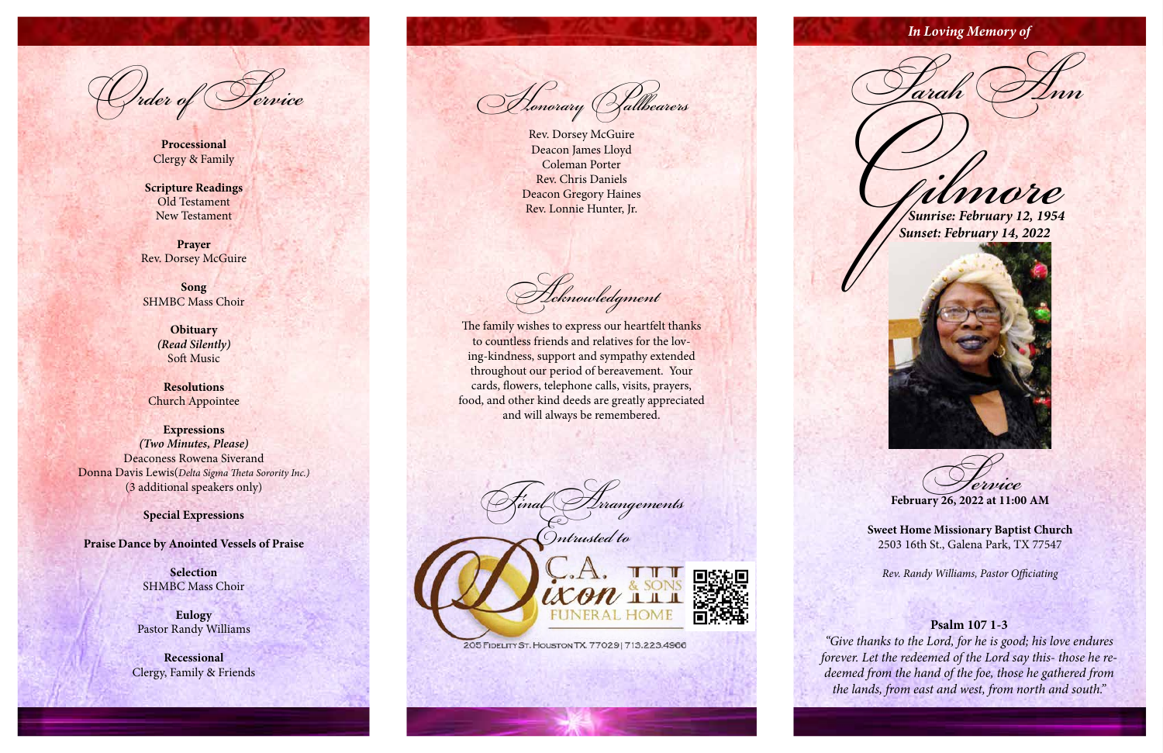## **Psalm 107 1-3**

*"Give thanks to the Lord, for he is good; his love endures forever. Let the redeemed of the Lord say this- those he re deemed from the hand of the foe, those he gathered from the lands, from east and west, from north and south."*

 $\sqrt{d}$ 

**Processional** Clergy & Family

**Scripture Readings** Old Testament New Testament

**Prayer** Rev. Dorsey McGuire

**Song** SHMBC Mass Choir

> **Obituary** *(Read Silently)* Soft Music

**Resolutions** Church Appointee

**Expressions** *(Two Minutes, Please)* Deaconess Rowena Siverand Donna Davis Lewis(*Delta Sigma Theta Sorority Inc.)* (3 additional speakers only)

**Special Expressions**

**Praise Dance by Anointed Vessels of Praise**

**Selection** SHMBC Mass Choir

**Eulogy** Pastor Randy Williams

**Recessional** Clergy, Family & Friends

Honorary Pallbearers

Rev. Dorsey McGuire Deacon James Lloyd Coleman Porter Rev. Chris Daniels Deacon Gregory Haines Rev. Lonnie Hunter, Jr.

Acknowledgment

The family wishes to express our heartfelt thanks to countless friends and relatives for the lov ing-kindness, support and sympathy extended throughout our period of bereavement. Your cards, flowers, telephone calls, visits, prayers, food, and other kind deeds are greatly appreciated and will always be remembered.

Final Arrangements Entrusted to



205 FIDELITY ST. HOUSTON TX. 77029 | 713.223.4966

Gilmore *Sunrise: February 12, 1954*

 *Sunset: February 14, 2022*



Service **February 26, 2022 at 11:00 AM**

**Sweet Home Missionary Baptist Church** 2503 16th St., Galena Park, TX 77547

*Rev. Randy Williams, Pastor Officiating*

*In Loving Memory of*

Parah Ann